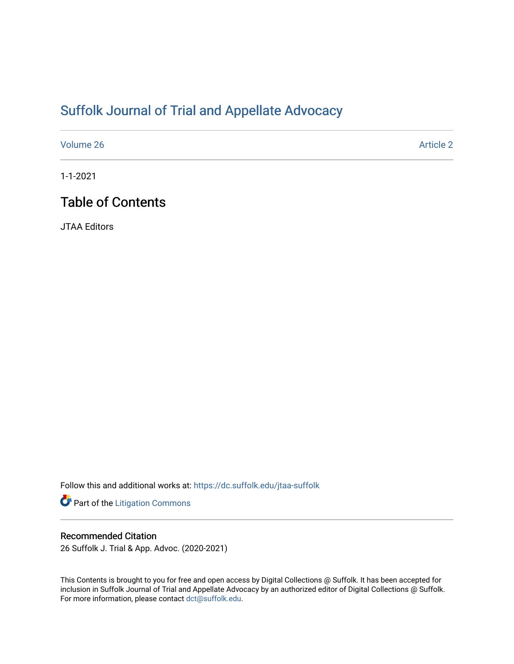# [Suffolk Journal of Trial and Appellate Advocacy](https://dc.suffolk.edu/jtaa-suffolk)

[Volume 26](https://dc.suffolk.edu/jtaa-suffolk/vol26) Article 2

1-1-2021

## Table of Contents

JTAA Editors

Follow this and additional works at: [https://dc.suffolk.edu/jtaa-suffolk](https://dc.suffolk.edu/jtaa-suffolk?utm_source=dc.suffolk.edu%2Fjtaa-suffolk%2Fvol26%2Fiss1%2F2&utm_medium=PDF&utm_campaign=PDFCoverPages) 

Part of the [Litigation Commons](http://network.bepress.com/hgg/discipline/910?utm_source=dc.suffolk.edu%2Fjtaa-suffolk%2Fvol26%2Fiss1%2F2&utm_medium=PDF&utm_campaign=PDFCoverPages)

### Recommended Citation

26 Suffolk J. Trial & App. Advoc. (2020-2021)

This Contents is brought to you for free and open access by Digital Collections @ Suffolk. It has been accepted for inclusion in Suffolk Journal of Trial and Appellate Advocacy by an authorized editor of Digital Collections @ Suffolk. For more information, please contact [dct@suffolk.edu](mailto:dct@suffolk.edu).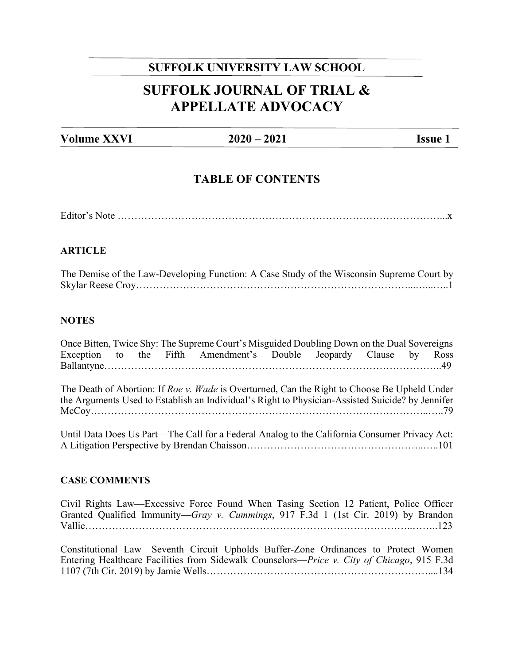### **SUFFOLK UNIVERSITY LAW SCHOOL**

## **SUFFOLK JOURNAL OF TRIAL & APPELLATE ADVOCACY**

**Volume XXVI 2020 – 2021 Issue 1** 

### **TABLE OF CONTENTS**

Editor's Note ……………………………………………………………………………………...x

### **ARTICLE**

| The Demise of the Law-Developing Function: A Case Study of the Wisconsin Supreme Court by |
|-------------------------------------------------------------------------------------------|
|                                                                                           |

### **NOTES**

Once Bitten, Twice Shy: The Supreme Court's Misguided Doubling Down on the Dual Sovereigns Exception to the Fifth Amendment's Double Jeopardy Clause by Ross Ballantyne………………………………………………………………………………………..49

The Death of Abortion: If *Roe v. Wade* is Overturned, Can the Right to Choose Be Upheld Under the Arguments Used to Establish an Individual's Right to Physician-Assisted Suicide? by Jennifer McCoy………………………………………………………………………………………..…..79

Until Data Does Us Part—The Call for a Federal Analog to the California Consumer Privacy Act: A Litigation Perspective by Brendan Chaisson……………………………………………..…..101

### **CASE COMMENTS**

Civil Rights Law—Excessive Force Found When Tasing Section 12 Patient, Police Officer Granted Qualified Immunity—*Gray v. Cummings*, 917 F.3d 1 (1st Cir. 2019) by Brandon Vallie……………………………………………………………………………………..……..123

Constitutional Law—Seventh Circuit Upholds Buffer-Zone Ordinances to Protect Women Entering Healthcare Facilities from Sidewalk Counselors—*Price v. City of Chicago*, 915 F.3d 1107 (7th Cir. 2019) by Jamie Wells…………………………………………………………....134